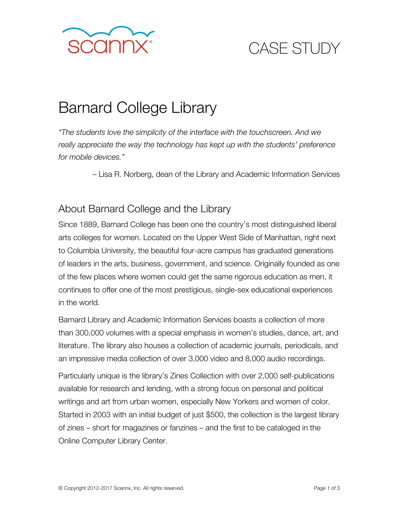

# CASE STUDY

# Barnard College Library

*"The students love the simplicity of the interface with the touchscreen. And we really appreciate the way the technology has kept up with the students' preference for mobile devices."* 

– Lisa R. Norberg, dean of the Library and Academic Information Services

#### About Barnard College and the Library

Since 1889, Barnard College has been one the country's most distinguished liberal arts colleges for women. Located on the Upper West Side of Manhattan, right next to Columbia University, the beautiful four-acre campus has graduated generations of leaders in the arts, business, government, and science. Originally founded as one of the few places where women could get the same rigorous education as men, it continues to offer one of the most prestigious, single-sex educational experiences in the world.

Barnard Library and Academic Information Services boasts a collection of more than 300,000 volumes with a special emphasis in women's studies, dance, art, and literature. The library also houses a collection of academic journals, periodicals, and an impressive media collection of over 3,000 video and 8,000 audio recordings.

Particularly unique is the library's Zines Collection with over 2,000 self-publications available for research and lending, with a strong focus on personal and political writings and art from urban women, especially New Yorkers and women of color. Started in 2003 with an initial budget of just \$500, the collection is the largest library of zines – short for magazines or fanzines – and the first to be cataloged in the Online Computer Library Center.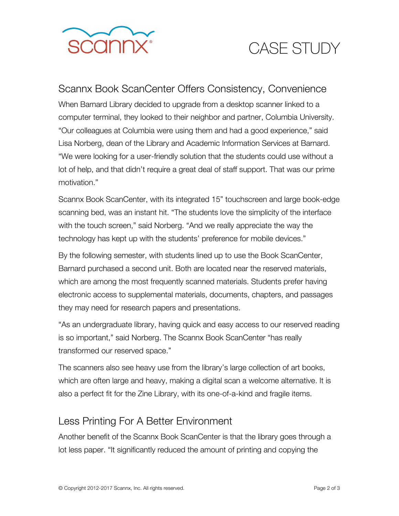

# CASE STUDY

#### Scannx Book ScanCenter Offers Consistency, Convenience

When Barnard Library decided to upgrade from a desktop scanner linked to a computer terminal, they looked to their neighbor and partner, Columbia University. "Our colleagues at Columbia were using them and had a good experience," said Lisa Norberg, dean of the Library and Academic Information Services at Barnard. "We were looking for a user-friendly solution that the students could use without a lot of help, and that didn't require a great deal of staff support. That was our prime motivation."

Scannx Book ScanCenter, with its integrated 15" touchscreen and large book-edge scanning bed, was an instant hit. "The students love the simplicity of the interface with the touch screen," said Norberg. "And we really appreciate the way the technology has kept up with the students' preference for mobile devices."

By the following semester, with students lined up to use the Book ScanCenter, Barnard purchased a second unit. Both are located near the reserved materials, which are among the most frequently scanned materials. Students prefer having electronic access to supplemental materials, documents, chapters, and passages they may need for research papers and presentations.

"As an undergraduate library, having quick and easy access to our reserved reading is so important," said Norberg. The Scannx Book ScanCenter "has really transformed our reserved space."

The scanners also see heavy use from the library's large collection of art books, which are often large and heavy, making a digital scan a welcome alternative. It is also a perfect fit for the Zine Library, with its one-of-a-kind and fragile items.

#### Less Printing For A Better Environment

Another benefit of the Scannx Book ScanCenter is that the library goes through a lot less paper. "It significantly reduced the amount of printing and copying the